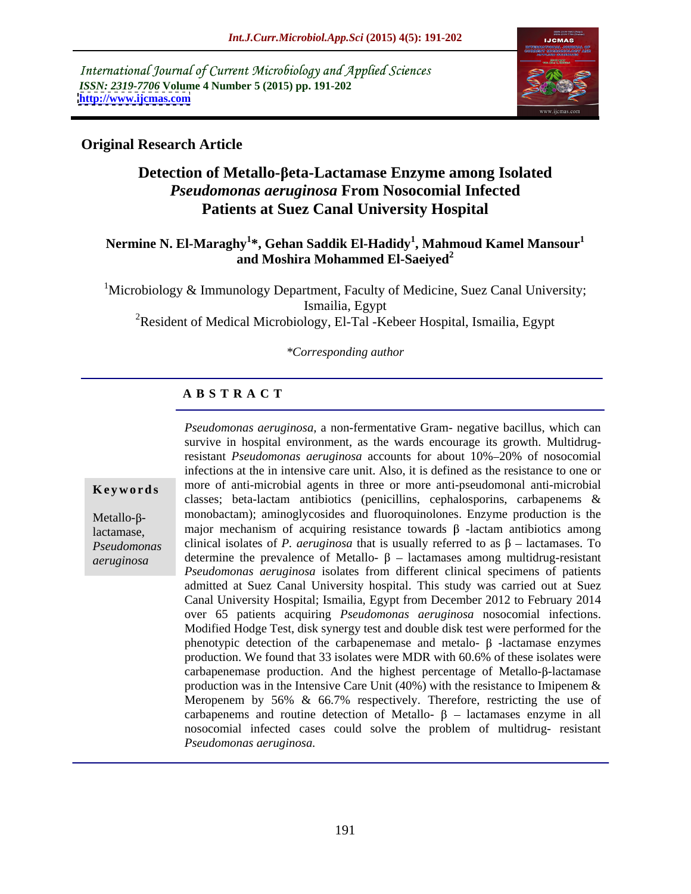International Journal of Current Microbiology and Applied Sciences *ISSN: 2319-7706* **Volume 4 Number 5 (2015) pp. 191-202 <http://www.ijcmas.com>**



## **Original Research Article**

# **Detection of Metallo-βeta-Lactamase Enzyme among Isolated** *Pseudomonas aeruginosa* **From Nosocomial Infected Patients at Suez Canal University Hospital**

## **Nermine N. El-Maraghy<sup>1</sup> \*, Gehan Saddik El-Hadidy<sup>1</sup> , Mahmoud Kamel Mansour<sup>1</sup> and Moshira Mohammed El-Saeiyed<sup>2</sup>**

<sup>1</sup>Microbiology & Immunology Department, Faculty of Medicine, Suez Canal University; Ismailia, Egypt <sup>2</sup>Resident of Medical Microbiology, El-Tal -Kebeer Hospital, Ismailia, Egypt

### *\*Corresponding author*

## **A B S T R A C T**

*aeruginosa*

*Pseudomonas aeruginosa,* a non-fermentative Gram- negative bacillus, which can survive in hospital environment, as the wards encourage its growth. Multidrugresistant *Pseudomonas aeruginosa* accounts for about 10% 20% of nosocomial infections at the in intensive care unit. Also, it is defined as the resistance to one or **Keywords** more of anti-microbial agents in three or more anti-pseudomonal anti-microbial classes; beta-lactam antibiotics (penicillins, cephalosporins, carbapenems &  $Metallo-\beta$ - monobactam); aminoglycosides and fluoroquinolones. Enzyme production is the lactamase, major mechanism of acquiring resistance towards  $\beta$  -lactam antibiotics among  $Pseudomonas$  clinical isolates of *P. aeruginosa* that is usually referred to as  $\beta$  – lactamases. To determine the prevalence of Metallo-  $\beta$  – lactamases among multidrug-resistant *Pseudomonas aeruginosa* isolates from different clinical specimens of patients admitted at Suez Canal University hospital. This study was carried out at Suez Canal University Hospital; Ismailia, Egypt from December 2012 to February 2014 over 65 patients acquiring *Pseudomonas aeruginosa* nosocomial infections. Modified Hodge Test, disk synergy test and double disk test were performed for the phenotypic detection of the carbapenemase and metalo-  $\beta$  -lactamase enzymes production. We found that 33 isolates were MDR with 60.6% of these isolates were carbapenemase production. And the highest percentage of Metallo- $\beta$ -lactamase production was in the Intensive Care Unit (40%) with the resistance to Imipenem  $\&$ Meropenem by 56% & 66.7% respectively. Therefore, restricting the use of carbapenems and routine detection of Metallo-  $\beta$  – lactamases enzyme in all nosocomial infected cases could solve the problem of multidrug- resistant *Pseudomonas aeruginosa.*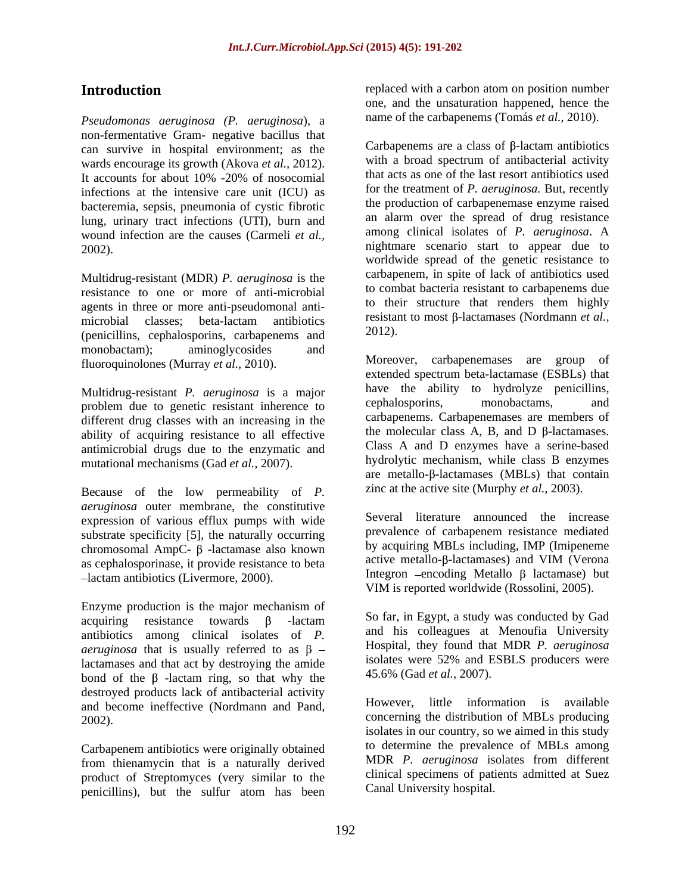*Pseudomonas aeruginosa (P. aeruginosa*), a non-fermentative Gram- negative bacillus that can survive in hospital environment; as the wards encourage its growth (Akova *et al.,* 2012). infections at the intensive care unit (ICU) as bacteremia, sepsis, pneumonia of cystic fibrotic lung, urinary tract infections (UTI), burn and wound infection are the causes (Carmeli *et al.,*

Multidrug-resistant (MDR) *P. aeruginosa* is the resistance to one or more of anti-microbial agents in three or more anti-pseudomonal anti microbial classes; beta-lactam antibiotics resistant results or the combination of the contractor of the contractor of the contractor of the contractor of the contractor of the contractor of the contractor of the contracto (penicillins, cephalosporins, carbapenems and monobactam); aminoglycosides and fluoroquinolones (Murray *et al.,* 2010).

Multidrug-resistant *P. aeruginosa* is a major have the ability to hydrolyze peniculins, <br>problem due to genetic resistant inherence to cephalosporins, monobactams, and problem due to genetic resistant inherence to different drug classes with an increasing in the ability of acquiring resistance to all effective antimicrobial drugs due to the enzymatic and mutational mechanisms (Gad *et al.,* 2007).

Because of the low permeability of *P. aeruginosa* outer membrane, the constitutive expression of various efflux pumps with wide substrate specificity [5], the naturally occurring chromosomal AmpC-  $\beta$  -lactamase also known<br>as centrallo- $\beta$ -lactamases it provide resistance to be active metallo- $\beta$ -lactamases) and VIM (Verona as cephalosporinase, it provide resistance to beta lactam antibiotics (Livermore, 2000).

Enzyme production is the major mechanism of acquiring resistance towards  $\beta$  -lactam So far, in Egypt, a study was conducted by Gad antibiotics among clinical isolates of *P. aeruginosa* that is usually referred to as  $\beta$  – lactamases and that act by destroying the amide<br>hand of the  $\beta$  lactam ring, so that why the  $\beta$  15.6% (Gad *et al.*, 2007). bond of the  $\beta$ -lactam ring, so that why the destroyed products lack of antibacterial activity and become ineffective (Nordmann and Pand,

Carbapenem antibiotics were originally obtained<br>
Carbapenem antibiotics were originally derived<br>
Conservation and MDR P, aeruginosa isolates from different from thienamycin that is a naturally derived product of Streptomyces (very similar to the penicillins), but the sulfur atom has been

**Introduction replaced with a carbon atom on position number** one, and the unsaturation happened, hence the name of the carbapenems (Tomás *et al.,* 2010).

It accounts for about 10% -20% of nosocomial that acts as one of the last resort antibiotics used 2002). nightmare scenario start to appear due to Carbapenems are a class of  $\beta$ -lactam antibiotics with a broad spectrum of antibacterial activity that acts as one of the last resort antibiotics used for the treatment of *P. aeruginosa.* But, recently the production of carbapenemase enzyme raised an alarm over the spread of drug resistance among clinical isolates of *P. aeruginosa*. A worldwide spread of the genetic resistance to carbapenem, in spite of lack of antibiotics used to combat bacteria resistant to carbapenems due to their structure that renders them highly resistant to most  $\beta$ -lactamases (Nordmann *et al.,* 2012).

> Moreover, carbapenemases are group of extended spectrum beta-lactamase (ESBLs) that have the ability to hydrolyze penicillins, cephalosporins, monobactams, and carbapenems. Carbapenemases are members of the molecular class A, B, and D  $\beta$ -lactamases. Class A and D enzymes have a serine-based hydrolytic mechanism, while class B enzymes are metallo- $\beta$ -lactamases (MBLs) that contain zinc at the active site (Murphy *et al.,* 2003).

Several literature announced the increase prevalence of carbapenem resistance mediated by acquiring MBLs including, IMP (Imipeneme active metallo- $\beta$ -lactamases) and VIM (Verona Integron  $-$ encoding Metallo  $\beta$  lactamase) but VIM is reported worldwide (Rossolini, 2005).

and his colleagues at Menoufia University Hospital, they found that MDR *P. aeruginosa* isolates were 52% and ESBLS producers were 45.6% (Gad *et al.,* 2007).

2002). concerning the distribution of MBLs producing However, little information is available isolates in our country, so we aimed in this study to determine the prevalence of MBLs among MDR *P. aeruginosa* isolates from different clinical specimens of patients admitted at Suez Canal University hospital.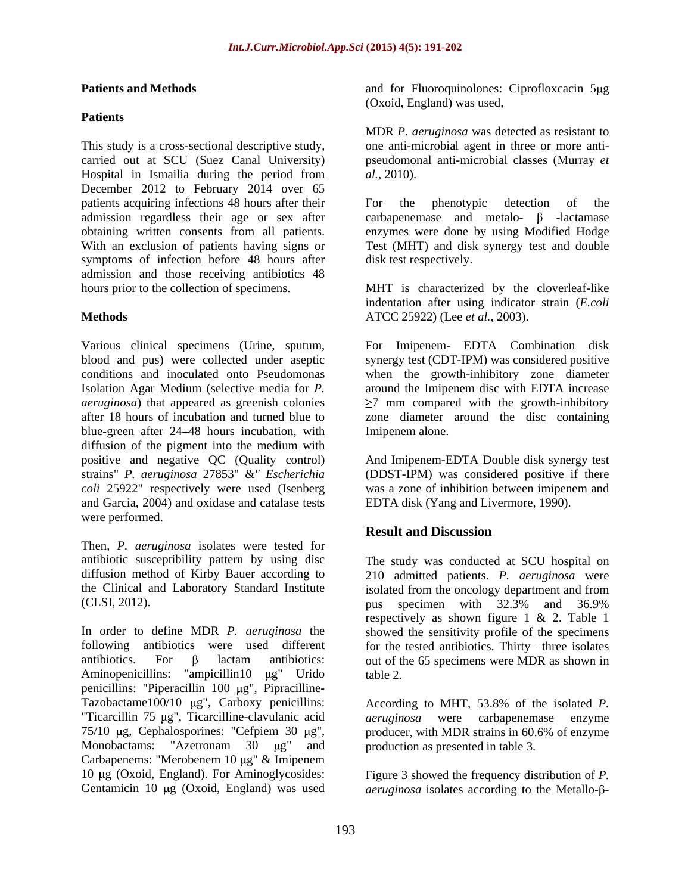### **Patients**

This study is a cross-sectional descriptive study, one anti-microbial agent in three or more anti carried out at SCU (Suez Canal University) pseudomonal anti-microbial classes (Murray *et*  Hospital in Ismailia during the period from  $al$ , 2010). December 2012 to February 2014 over 65 patients acquiring infections 48 hours after their and the phenotypic detection of the admission regardless their age or sex after symptoms of infection before 48 hours after admission and those receiving antibiotics 48 hours prior to the collection of specimens. MHT is characterized by the cloverleaf-like

blue-green after 24 48 hours incubation, with diffusion of the pigment into the medium with positive and negative QC (Quality control)<br>strains" *P. aeruginosa* 27853" &" *Escherichia* strains" *P. aeruginosa* 27853" &*" Escherichia* (DDST-IPM) was considered positive if there *coli* 25922" respectively were used (Isenberg was a zone of inhibition between imipenem and and Garcia, 2004) and oxidase and catalase tests were performed.

Then, *P. aeruginosa* isolates were tested for (CLSI, 2012). **In the contract of the contract of the contract of the contract of the contract of the contract of the contract of the contract of the contract of the contract of the contract of the contract of the contract** 

In order to define MDR *P. aeruginosa* the showed the sensitivity profile of the specimens following antibiotics were used different for the tested antibiotics. Thirty -three isolates antibiotics. For  $\beta$  lactam antibiotics: out of the 65 specimens were MDR as shown in Aminopenicillins: "ampicillin10 µg" Urido table 2. penicillins: "Piperacillin  $100 \mu$ g", Pipracilline-Tazobactame100/10 µg", Carboxy penicillins: According to MHT, 53.8% of the isolated P. "Ticarcillin 75 µg", Ticarcilline-clavulanic acid aeruginosa were carbapenemase enzyme 75/10  $\mu$ g, Cephalosporines: "Cefpiem 30  $\mu$ g", producer, with MDR strains in 60.6% of enzyme Monobactams: "Azetronam 30 µg" and production as presented in table 3. Carbapenems: "Merobenem 10 µg" & Imipenem 10 g (Oxoid, England). For Aminoglycosides: Figure 3 showed the frequency distribution of *P.* 

**Patients and Methods** and for Fluoroquinolones: Ciprofloxcacin 5µg (Oxoid, England) was used,

> MDR *P. aeruginosa* was detected as resistant to *al.,* 2010).

obtaining written consents from all patients. The enzymes were done by using Modified Hodge<br>With an exclusion of patients having signs or Test (MHT) and disk synergy test and double For the phenotypic detection of the  $carbapenemase$  and metalo-  $\beta$  -lactamase enzymes were done by using Modified Hodge Test (MHT) and disk synergy test and double disk test respectively.

**Methods** ATCC 25922) (Lee *et al.,* 2003). indentation after using indicator strain (*E.coli*

Various clinical specimens (Urine, sputum, For Imipenem- EDTA Combination disk blood and pus) were collected under aseptic synergy test (CDT-IPM) was considered positive conditions and inoculated onto Pseudomonas when the growth-inhibitory zone diameter Isolation Agar Medium (selective media for *P.*  around the Imipenem disc with EDTA increase *aeruginosa*) that appeared as greenish colonies 7 mm compared with the growth-inhibitory after 18 hours of incubation and turned blue to zone diameter around the disc containing Imipenem alone.

> And Imipenem-EDTA Double disk synergy test EDTA disk (Yang and Livermore, 1990).

## **Result and Discussion**

antibiotic susceptibility pattern by using disc The study was conducted at SCU hospital on diffusion method of Kirby Bauer according to 210 admitted patients. *P. aeruginosa* were the Clinical and Laboratory Standard Institute isolated from the oncology department and from pus specimen with 32.3% and 36.9% respectively as shown figure 1 & 2. Table 1 table 2.

> According to MHT, 53.8% of the isolated *P. aeruginosa* were carbapenemase production as presented in table 3.

Gentamicin 10 μg (Oxoid, England) was used *aeruginosa* isolates according to the Metallo-β-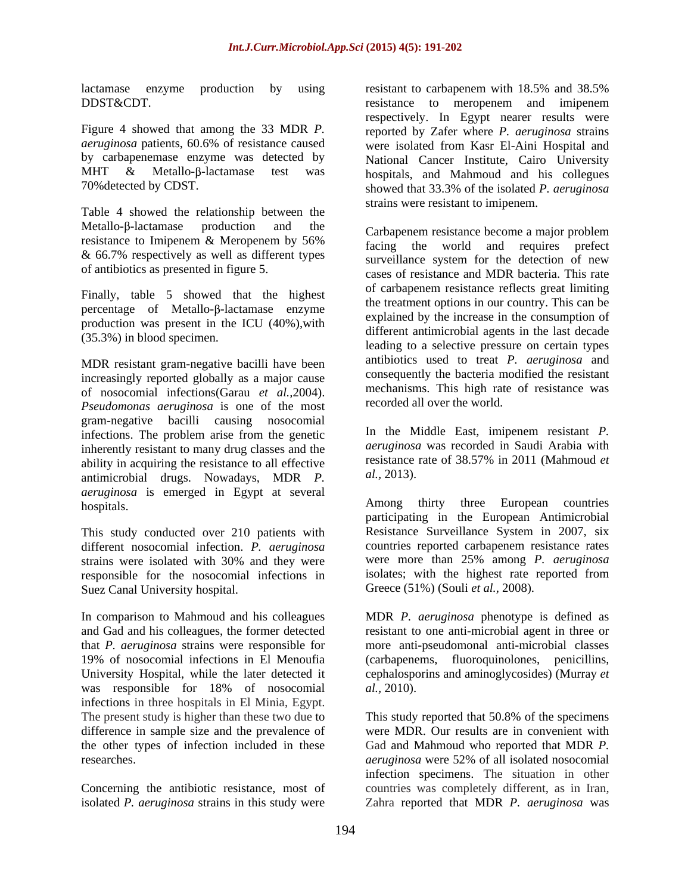lactamase enzyme production by using resistant to carbapenem with 18.5% and 38.5% DDST&CDT.

Figure 4 showed that among the 33 MDR *P.*  reported by Zafer where *P. aeruginosa* strains *aeruginosa* patients, 60.6% of resistance caused were isolated from Kasr El-Aini Hospital and by carbapenemase enzyme was detected by National Cancer Institute, Cairo University MHT  $\&$  Metallo- $\beta$ -lactamase test was hospitals, and Mahmoud and his collegues

Table 4 showed the relationship between the Metallo- $\beta$ -lactamase production and the Carbapenem resistance become a major problem & 66.7% respectively as well as different types

Finally, table 5 showed that the highest percentage of Metallo- $\beta$ -lactamase enzyme production was present in the ICU (40%),with

MDR resistant gram-negative bacilli have been increasingly reported globally as a major cause of nosocomial infections(Garau *et al.,*2004). *Pseudomonas aeruginosa* is one of the most gram-negative bacilli causing nosocomial infections. The problem arise from the genetic inherently resistant to many drug classes and the ability in acquiring the resistance to all effective  $\frac{1}{2}$  resistance antimicrobial drugs. Nowadays MDR *p al.*, 2013). antimicrobial drugs. Nowadays, MDR *P. aeruginosa* is emerged in Egypt at several<br> **Among** thirty three European countries

This study conducted over 210 patients with different nosocomial infection. *P. aeruginosa* Suez Canal University hospital.

In comparison to Mahmoud and his colleagues MDR *P. aeruginosa* phenotype is defined as and Gad and his colleagues, the former detected resistant to one anti-microbial agent in three or that *P. aeruginosa* strains were responsible for 19% of nosocomial infections in El Menoufia (carbapenems, fluoroquinolones, penicillins, University Hospital, while the later detected it cephalosporins and aminoglycosides) (Murray *et* was responsible for 18% of nosocomial al., 2010). infections in three hospitals in El Minia, Egypt. The present study is higher than these two due to This study reported that 50.8% of the specimens difference in sample size and the prevalence of the other types of infection included in these Gad and Mahmoud who reported that MDR *P.*  researches. The contract of the contract of the contract of the contract of the contract of the contract of the contract of the contract of the contract of the contract of the contract of the contract of the contract of th

70%detected by CDST. showed that 33.3% of the isolated *P. aeruginosa* resistant to carbapenem with 18.5% and 38.5% resistance to meropenem and imipenem respectively. In Egypt nearer results were strains were resistant to imipenem.

resistance to Imipenem & Meropenem by 56% facing the world and requires prefect of antibiotics as presented in figure 5. cases of resistance and MDR bacteria. This rate (35.3%) in blood specimen. leading to a selective pressure on certain types facing the world and requires prefect surveillance system for the detection of new of carbapenem resistance reflects great limiting the treatment options in our country. This can be explained by the increase in the consumption of different antimicrobial agents in the last decade antibiotics used to treat *P. aeruginosa* and consequently the bacteria modified the resistant mechanisms. This high rate of resistance was recorded all over the world.

> In the Middle East, imipenem resistant *P. aeruginosa* was recorded in Saudi Arabia with resistance rate of 38.57% in 2011 (Mahmoud *et al.,* 2013).

hospitals. Among thirty three European countries strains were isolated with 30% and they were were more than 25% among P. *aeruginosa* responsible for the nosocomial infections in isolates; with the highest rate reported from Among thirty three European countries participating in the European Antimicrobial Resistance Surveillance System in 2007, six countries reported carbapenem resistance rates were more than 25% among *P. aeruginosa* Greece (51%) (Souli *et al.,* 2008).

> more anti-pseudomonal anti-microbial classes *al.,* 2010).

Concerning the antibiotic resistance, most of countries was completely different, as in Iran, isolated *P. aeruginosa* strains in this study were Zahra reported that MDR *P. aeruginosa* was This study reported that 50.8% of the specimens were MDR. Our results are in convenient with *aeruginosa* were 52% of all isolated nosocomial infection specimens. The situation in other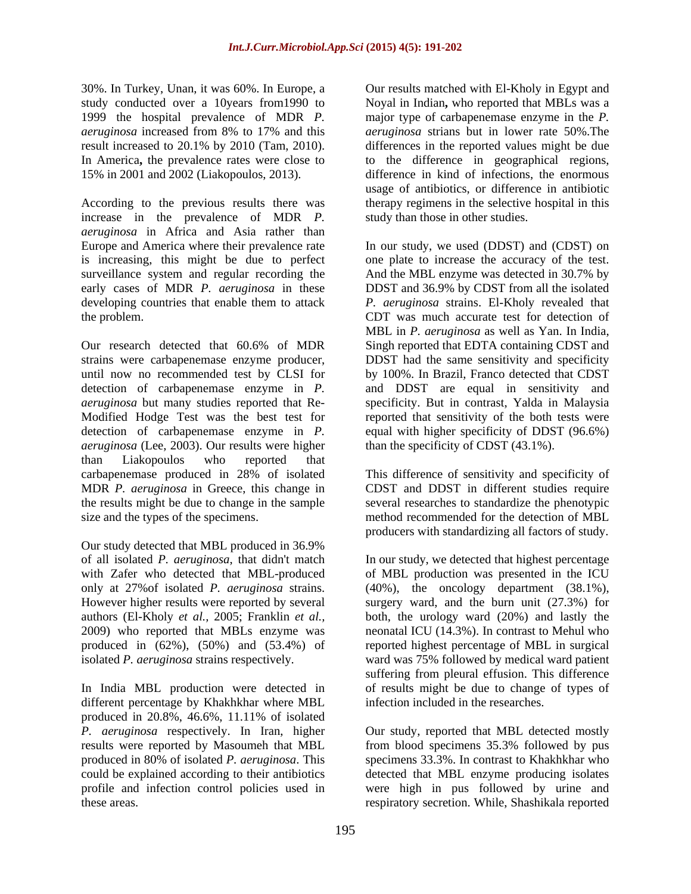In America, the prevalence rates were close to the difference in geographical regions, 15% in 2001 and 2002 (Liakopoulos, 2013). difference in kind of infections, the enormous

According to the previous results there was therapy regimens in the selective hospital in this increase in the prevalence of MDR *P. aeruginosa* in Africa and Asia rather than Europe and America where their prevalence rate In our study, we used (DDST) and (CDST) on is increasing, this might be due to perfect one plate to increase the accuracy of the test. surveillance system and regular recording the And the MBL enzyme was detected in 30.7% by early cases of MDR *P. aeruginosa* in these developing countries that enable them to attack

Our research detected that 60.6% of MDR Singh reported that EDTA containing CDST and strains were carbapenemase enzyme producer, DDST had the same sensitivity and specificity until now no recommended test by CLSI for detection of carbapenemase enzyme in *P.*  and DDST are equal in sensitivity and *aeruginosa* but many studies reported that Re- specificity. But in contrast, Yalda in Malaysia Modified Hodge Test was the best test for reported that sensitivity of the both tests were detection of carbapenemase enzyme in *P.*  equal with higher specificity of DDST (96.6%) *aeruginosa* (Lee, 2003). Our results were higher than Liakopoulos who reported that carbapenemase produced in 28% of isolated This difference of sensitivity and specificity of MDR *P. aeruginosa* in Greece, this change in CDST and DDST in different studies require the results might be due to change in the sample several researches to standardize the phenotypic size and the types of the specimens. method recommended for the detection of MBL

Our study detected that MBL produced in 36.9%<br>of all isolated *P. aeruginosa*, that didn't match

different percentage by Khakhkhar where MBL produced in 20.8%, 46.6%, 11.11% of isolated *P. aeruginosa* respectively. In Iran, higher produced in 80% of isolated *P. aeruginosa*. This these areas. respiratory secretion. While, Shashikala reported

30%. In Turkey, Unan, it was 60%. In Europe, a Our results matched with El-Kholy in Egypt and study conducted over a 10years from1990 to Noyal in Indian**,** who reported that MBLs was a 1999 the hospital prevalence of MDR *P.*  major type of carbapenemase enzyme in the *P. aeruginosa* increased from 8% to 17% and this result increased to 20.1% by 2010 (Tam, 2010). differences in the reported values might be due difference in kind of infections, the enormous *aeruginosa* strians but in lower rate 50%.The to the difference in geographical regions,<br>difference in kind of infections, the enormous usage of antibiotics, or difference in antibiotic study than those in other studies.

the problem. CDT was much accurate test for detection of And the MBL enzyme was detected in 30.7% by DDST and 36.9% by CDST from all the isolated *P. aeruginosa* strains. El-Kholy revealed that MBL in *P. aeruginosa* as well as Yan. In India, Singh reported that EDTA containing CDST and by 100%. In Brazil, Franco detected that CDST than the specificity of CDST (43.1%).

producers with standardizing all factors of study.

of all isolated *P. aeruginosa*, that didn't match In our study, we detected that highest percentage with Zafer who detected that MBL-produced of MBL production was presented in the ICU only at 27%of isolated *P. aeruginosa* strains. (40%), the oncology department (38.1%), However higher results were reported by several surgery ward, and the burn unit (27.3%) for authors (El-Kholy *et al.,* 2005; Franklin *et al.,* both, the urology ward (20%) and lastly the 2009) who reported that MBLs enzyme was neonatal ICU (14.3%). In contrast to Mehul who produced in (62%), (50%) and (53.4%) of reported highest percentage of MBL in surgical isolated *P. aeruginosa* strains respectively. ward was 75% followed by medical ward patient In India MBL production were detected in of results might be due to change of types of suffering from pleural effusion. This difference infection included in the researches.

results were reported by Masoumeh that MBL from blood specimens 35.3% followed by pus could be explained according to their antibiotics detected that MBL enzyme producing isolates profile and infection control policies used in were high in pus followed by urine and Our study, reported that MBL detected mostly specimens 33.3%. In contrast to Khakhkhar who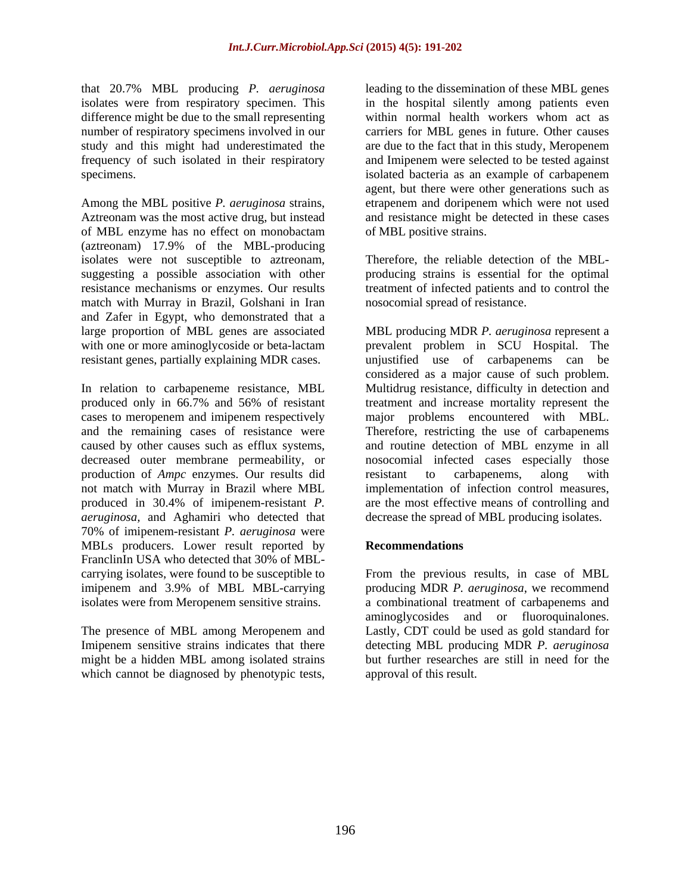difference might be due to the small representing

Among the MBL positive *P. aeruginosa* strains, etrapenem and doripenem which were not used Aztreonam was the most active drug, but instead and resistance might be detected in these cases of MBL enzyme has no effect on monobactam (aztreonam) 17.9% of the MBL-producing isolates were not susceptible to aztreonam, Therefore, the reliable detection of the MBL suggesting a possible association with other producing strains is essential for the optimal resistance mechanisms or enzymes. Our results treatment of infected patients and to control the match with Murray in Brazil, Golshani in Iran and Zafer in Egypt, who demonstrated that a

decreased outer membrane permeability, or a nosocomial infected cases e production of *Ampc* enzymes. Our results did resistant to carbanenems. production of *Ampc* enzymes. Our results did not match with Murray in Brazil where MBL *aeruginosa,* and Aghamiri who detected that decrease the spread of MBL producing isolates. 70% of imipenem-resistant *P. aeruginosa* were MBLs producers. Lower result reported by **Recommendations** FranclinIn USA who detected that 30% of MBL carrying isolates, were found to be susceptible to From the previous results, in case of MBL imipenem and 3.9% of MBL MBL-carrying producing MDR *P. aeruginosa*, we recommend

might be a hidden MBL among isolated strains which cannot be diagnosed by phenotypic tests.

that 20.7% MBL producing *P. aeruginosa* leading to the dissemination of these MBL genes isolates were from respiratory specimen. This in the hospital silently among patients even number of respiratory specimens involved in our carriers for MBL genes in future. Other causes study and this might had underestimated the are due to the fact that in this study, Meropenem frequency of such isolated in their respiratory and Imipenem were selected to be tested against specimens. isolated bacteria as an example of carbapenem within normal health workers whom act as agent, but there were other generations such as of MBL positive strains.

nosocomial spread of resistance.

large proportion of MBL genes are associated MBL producing MDR *P. aeruginosa* represent a with one or more aminoglycoside or beta-lactam **prevalent** problem in SCU Hospital. The resistant genes, partially explaining MDR cases. unjustified use of carbapenems can be In relation to carbapeneme resistance, MBL Multidrug resistance, difficulty in detection and produced only in 66.7% and 56% of resistant cases to meropenem and imipenem respectively major problems encountered with MBL. and the remaining cases of resistance were Therefore, restricting the use of carbapenems caused by other causes such as efflux systems, and routine detection of MBL enzyme in all produced in 30.4% of imipenem-resistant *P.*  are the most effective means of controlling and considered as a major cause of such problem. treatment and increase mortality represent the nosocomial infected cases especially those resistant to carbapenems, along with implementation of infection control measures,

## **Recommendations**

isolates were from Meropenem sensitive strains. a combinational treatment of carbapenems and The presence of MBL among Meropenem and Lastly, CDT could be used as gold standard for Imipenem sensitive strains indicates that there detecting MBL producing MDR *P. aeruginosa* aminoglycosides and or fluoroquinalones. but further researches are still in need for the approval of this result.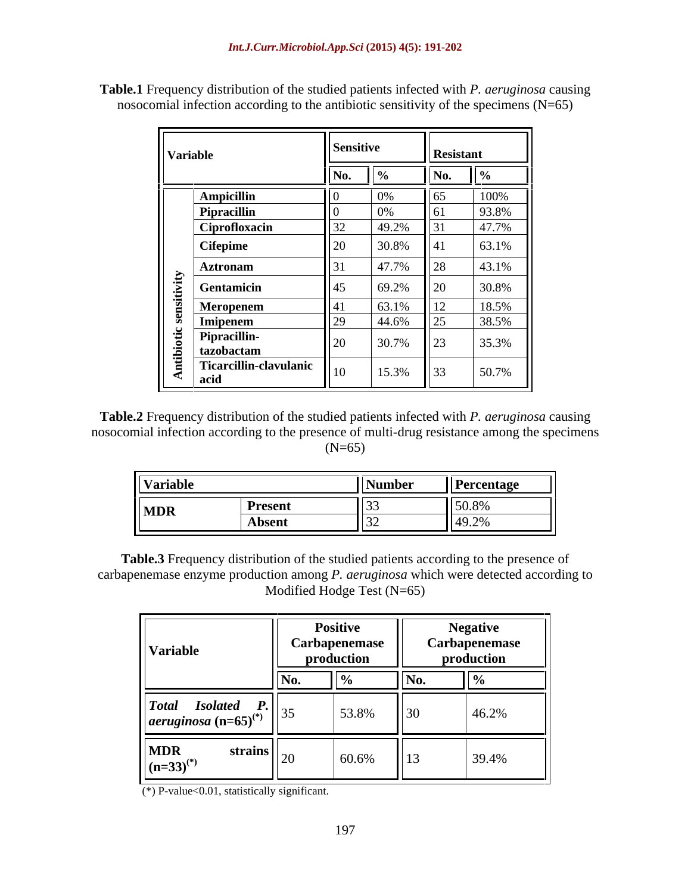| <b>Variable</b>                                   | Sensitive      |                | Resistant |                 |
|---------------------------------------------------|----------------|----------------|-----------|-----------------|
|                                                   |                |                | ______    |                 |
| Ampicillin                                        |                |                |           | $100\%$         |
| Pipracillin                                       |                | 40.20          |           | 93.8%<br>47.701 |
| Ciprofloxacin<br>  Cifepime                       |                | 49.2%<br>30.8% |           | 41.19<br>63.1%  |
| <b>Aztronam</b>                                   |                | 47.7%          |           | 43.1%           |
| $\sim$ $-$<br><b>Gentamicin</b>                   | 14.            | 69.2%          |           | 30.8%           |
| Meropenem                                         |                | 63.1%          |           | 18.5%           |
| $\frac{3}{2}$ Imipenem                            |                | 44.6%          |           | 38.5%           |
| $\vert$ Pipracillin-<br>$\mathbf{a}$   tazobactam |                | 30.7%          |           | 35.3%           |
| Ticarcillin-clavulanic<br>l acio                  | $\parallel$ 10 | $15.3\%$ 33    |           | 50.7%           |

**Table.1** Frequency distribution of the studied patients infected with *P. aeruginosa* causing nosocomial infection according to the antibiotic sensitivity of the specimens (N=65)

**Table.2** Frequency distribution of the studied patients infected with *P. aeruginosa* causing nosocomial infection according to the presence of multi-drug resistance among the specimens  $(N=65)$ 

| Variable                       | Number | Percentage                                                       |
|--------------------------------|--------|------------------------------------------------------------------|
| <u>  Present</u><br><b>MDR</b> |        | 1150.8%                                                          |
| Absent                         |        | $\mathbf{1}$ $\mathbf{1}$ $\mathbf{1}$ $\mathbf{2}$ $\mathbf{2}$ |

**Table.3** Frequency distribution of the studied patients according to the presence of carbapenemase enzyme production among *P. aeruginosa* which were detected according to Modified Hodge Test (N=65)

| Variable                                                                                                                        |        | Positive<br><sup>1</sup> Carbapenemase<br>production          |  | <b>Negative</b><br><b>Carbapenemase</b><br><u>production</u> |  |
|---------------------------------------------------------------------------------------------------------------------------------|--------|---------------------------------------------------------------|--|--------------------------------------------------------------|--|
|                                                                                                                                 |        |                                                               |  |                                                              |  |
| $\left\vert \begin{matrix} \text{Total} & \text{Isolated} & P. \\ \text{aeruginosa (n=65)}^{(*)} & \end{matrix} \right\vert$ 35 |        | $\begin{vmatrix} 53.8\% &   \end{vmatrix}$ 30                 |  | 46.2%                                                        |  |
| <b>MDR</b><br>strains<br>$(n=33)^{(*)}$                                                                                         | $\Box$ | $\begin{array}{ l c c c c } \hline 60.6\% & & 13 \end{array}$ |  | 39.4%                                                        |  |

(\*) P-value<0.01, statistically significant.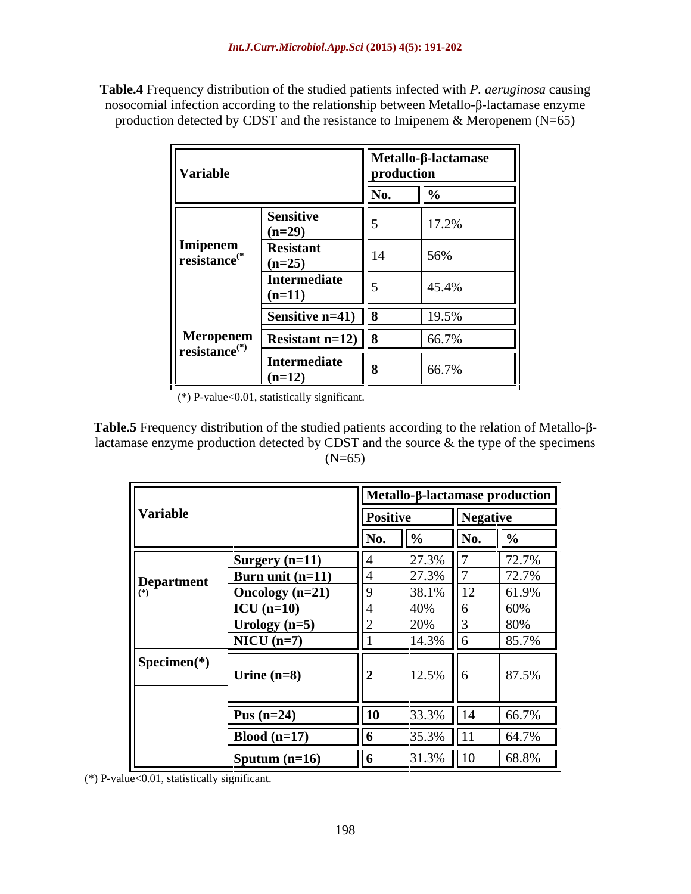**Table.4** Frequency distribution of the studied patients infected with *P. aeruginosa* causing nosocomial infection according to the relationship between Metallo- $\beta$ -lactamase enzyme production detected by CDST and the resistance to Imipenem  $\&$  Meropenem (N=65)

|                                                                             |                                 |            | $Metallo-\beta-lactamase$ |  |
|-----------------------------------------------------------------------------|---------------------------------|------------|---------------------------|--|
| Variable                                                                    |                                 | production |                           |  |
|                                                                             | <b>Sensitive</b><br>$(n=29)$    |            | 17.2%                     |  |
| $\left\ \right. \underline{\textbf{Imipenem}}_{\textbf{resistance}({}^{*}}$ | <b>Resistant</b><br>$(n=25)$    | 14         | 56%                       |  |
|                                                                             | Intermediate<br>$(n=11)$        |            | 45.4%                     |  |
|                                                                             | Sensitive $n=41$   8            |            | 19.5%                     |  |
|                                                                             | Meropenem   Resistant n=12)   8 |            | 66.7%                     |  |
| $\parallel$ resistance <sup>(*)</sup>                                       | Intermediate<br>$\ln(12)$       |            | 66.7%                     |  |

 $(*)$  P-value<0.01, statistically significant.

**Table.5** Frequency distribution of the studied patients according to the relation of Metallo- $\beta$ lactamase enzyme production detected by CDST and the source  $\&$  the type of the specimens  $(N=65)$ 

|                                       |                                         |                                                                              | $\left  \Delta$ Metallo- $\beta$ -lactamase production |                       |  |
|---------------------------------------|-----------------------------------------|------------------------------------------------------------------------------|--------------------------------------------------------|-----------------------|--|
| Variable                              |                                         | <b>Positive</b>                                                              | <b>Negative</b>                                        |                       |  |
|                                       |                                         | N0.                                                                          | $^{\prime\prime}$ No.                                  |                       |  |
|                                       | Surgery $(n=11)$                        | $27.3\%$   7                                                                 |                                                        | 72.70'<br>$12.1\%$    |  |
| Department                            | Burn unit $(n=11)$<br>Oncology $(n=21)$ | $27.3\%$                                                                     | 38.1%   12                                             | $12.1^\circ$<br>61.9% |  |
|                                       | $\vert$ ICU (n=10)                      | $\sqrt{2}$                                                                   |                                                        |                       |  |
|                                       | Urology $(n=5)$                         | $\sim$                                                                       |                                                        |                       |  |
| $\sqrt{\text{Specimen}(\mathcal{H})}$ | $NICU$ (n=7)                            | ___                                                                          |                                                        |                       |  |
|                                       | Urine $(n=8)$                           | $12.5\%$ 6                                                                   |                                                        | 87.5%                 |  |
|                                       |                                         |                                                                              |                                                        |                       |  |
|                                       | Pus $(n=24)$                            | the contract of the contract of the contract of the contract of<br><b>10</b> | _____<br>$33.3\%$   14                                 | 66.7%                 |  |
|                                       | Blood $(n=17)$                          |                                                                              |                                                        | 64.7                  |  |
|                                       | $\sqrt{\text{Sputum} (n=16)}$           |                                                                              |                                                        | $31.3\%$ 10 68.8%     |  |

(\*) P-value< $0.01$ , statistically significant.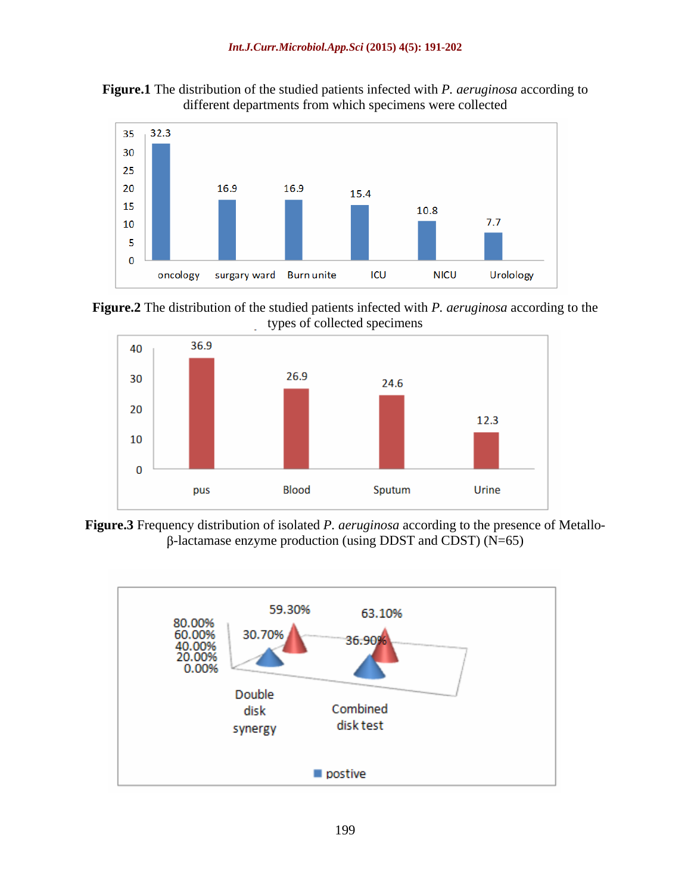



**Figure.2** The distribution of the studied patients infected with *P. aeruginosa* according to the types of collected specimens



**Figure.3** Frequency distribution of isolated *P. aeruginosa* according to the presence of Metallo-  $\beta$ -lactamase enzyme production (using DDST and CDST) (N=65)

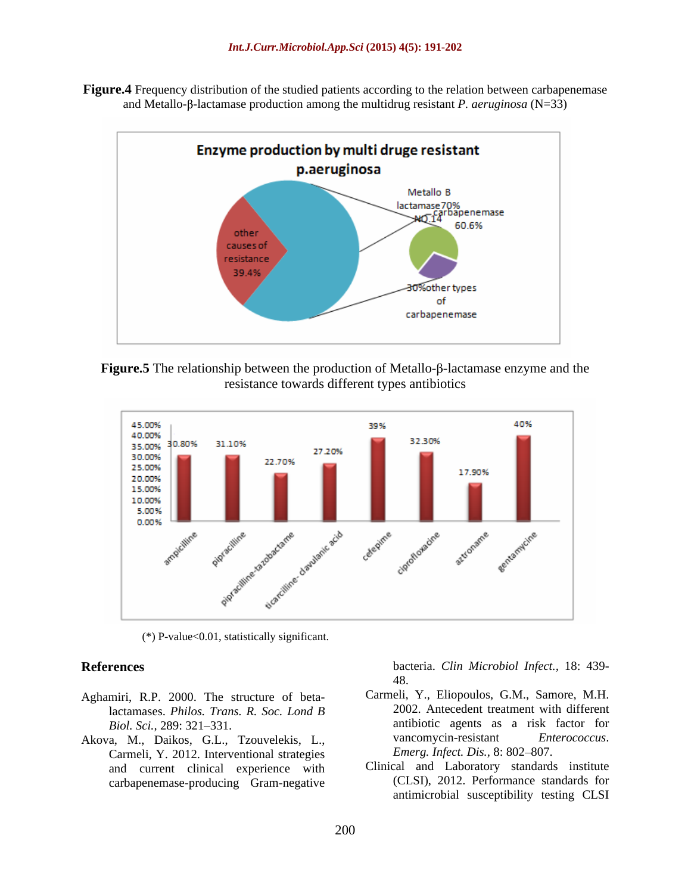**Figure.4** Frequency distribution of the studied patients according to the relation between carbapenemase and Metallo- $\beta$ -lactamase production among the multidrug resistant *P. aeruginosa* ( $N=33$ )







 $(*)$  P-value<0.01, statistically significant.

- Aghamiri, R.P. 2000. The structure of betalactamases. *Philos. Trans. R. Soc. Lond B*
- Carmeli, Y. 2012. Interventional strategies and current clinical experience with carbapenemase-producing Gram-negative

**References** bacteria. *Clin Microbiol Infect.,* 18: 439- 48.

- Biol. Sci., 289: 321–331. Akova, M., Daikos, G.L., Tzouvelekis, L., Carmeli, Y., Eliopoulos, G.M., Samore, M.H. 2002. Antecedent treatment with different vancomycin-resistant *Emerg. Infect. Dis., 8: 802-807.* 
	- Clinical and Laboratory standards institute (CLSI), 2012. Performance standards for antimicrobial susceptibility testing CLSI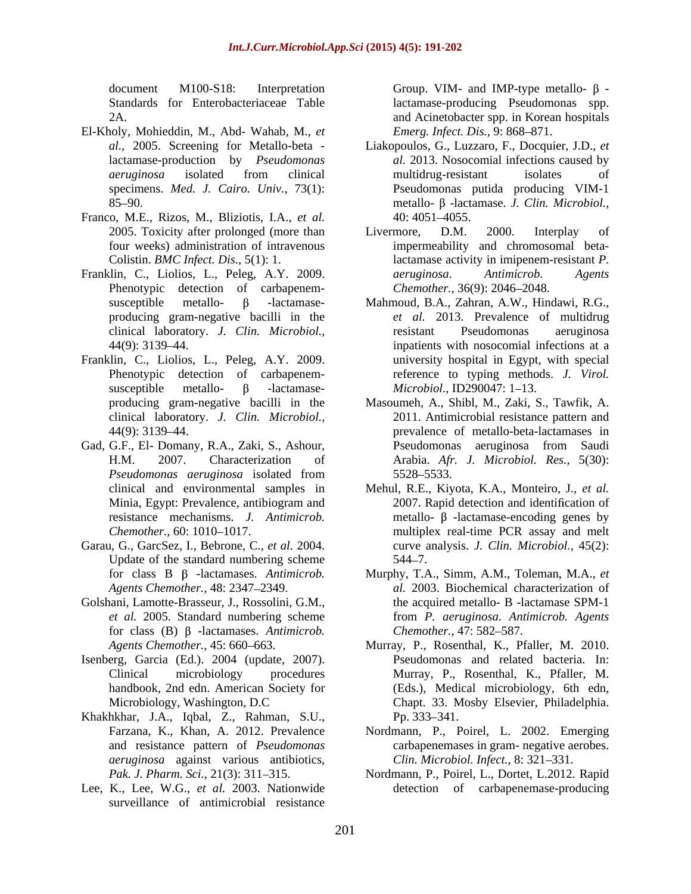- El-Kholy, Mohieddin, M., Abd- Wahab, M., *et*
- Franco, M.E., Rizos, M., Bliziotis, I.A., *et al.*
- Phenotypic detection of carbapenem-
- Franklin, C., Liolios, L., Peleg, A.Y. 2009. susceptible metallo-  $\beta$  -lactamase- *Microbiol.*, ID290047: 1–13.
- Gad, G.F., El- Domany, R.A., Zaki, S., Ashour, resistance mechanisms. *J. Antimicrob.*
- Garau, G., GarcSez, I., Bebrone, C., *et al.* 2004. Update of the standard numbering scheme 544–7.
- Golshani, Lamotte-Brasseur, J., Rossolini, G.M., *et al.* 2005. Standard numbering scheme for class (B)  $\beta$  -lactamases. *Antimicrob. Chemother.*, 47: 582–587.
- Isenberg, Garcia (Ed.). 2004 (update, 2007).
- Khakhkhar, J.A., Iqbal, Z., Rahman, S.U., *aeruginosa* against various antibiotics,
- Lee, K., Lee, W.G., *et al.* 2003. Nationwide surveillance of antimicrobial resistance

document M100-S18: Interpretation Group. VIM- and IMP-type metallo- $\beta$ -Standards for Enterobacteriaceae Table lactamase-producing Pseudomonas spp. 2A. and Acinetobacter spp. in Korean hospitals *Emerg. Infect. Dis., 9: 868-871.* 

- *al.,* 2005. Screening for Metallo-beta Liakopoulos, G., Luzzaro, F., Docquier, J.D., *et*  lactamase-production by *Pseudomonas al.* 2013. Nosocomial infections caused by *aeruginosa* isolated from clinical specimens. *Med. J. Cairo. Univ.,* 73(1): Pseudomonas putida producing VIM-1  $85-90.$  metallo-  $\beta$  -lactamase. *J. Clin. Microbiol.*, multidrug-resistant isolates of 40: 4051 4055.
- 2005. Toxicity after prolonged (more than Livermore, D.M. 2000. Interplay of four weeks) administration of intravenous impermeability and chromosomal beta-Colistin. *BMC Infect. Dis.,* 5(1): 1. lactamase activity in imipenem-resistant *P.*  Franklin, C., Liolios, L., Peleg, A.Y. 2009. *aeruginosa*. Antimicrob. Agents Livermore, D.M. 2000. Interplay of *aeruginosa*. *Antimicrob. Agents Chemother.,* 36(9): 2046–2048.
	- $susceptible$  metallo-  $\beta$  -lactamase- Mahmoud, B.A., Zahran, A.W., Hindawi, R.G., producing gram-negative bacilli in the *et al.* 2013. Prevalence of multidrug clinical laboratory. *J. Clin. Microbiol.,* 44(9): 3139 44. inpatients with nosocomial infections at a Phenotypic detection of carbapenem-<br>reference to typing methods. J. Virol. resistant Pseudomonas aeruginosa university hospital in Egypt, with special reference to typing methods. *J. Virol.*<br>*Microbiol.*, ID290047: 1–13.
	- producing gram-negative bacilli in the Masoumeh, A., Shibl, M., Zaki, S., Tawfik, A. clinical laboratory. *J. Clin. Microbiol.,* 2011. Antimicrobial resistance pattern and 44(9): 3139 44. prevalence of metallo-beta-lactamases in H.M. 2007. Characterization of Arabia. *Afr. J. Microbiol. Res.,* 5(30): *Pseudomonas aeruginosa* isolated from Pseudomonas aeruginosa from Saudi 5528 5533.
	- clinical and environmental samples in Mehul, R.E., Kiyota, K.A., Monteiro, J., *et al.* Minia, Egypt: Prevalence, antibiogram and *Chemother.,* 60: 1010–1017. multiplex real-time PCR assay and melt 2007. Rapid detection and identification of metallo- $\beta$ -lactamase-encoding genes by curve analysis. *J. Clin. Microbiol.,* 45(2):  $544 - 7.$
	- for class B β -lactamases. *Antimicrob*. Murphy, T.A., Simm, A.M., Toleman, M.A., *et Agents Chemother.,* 48: 2347 2349. *al.* 2003. Biochemical characterization of the acquired metallo- B -lactamase SPM-1 from *P. aeruginosa*. *Antimicrob. Agents Chemother., 47: 582–587.*
	- Agents Chemother., 45: 660–663. Murray, P., Rosenthal, K., Pfaller, M. 2010. Clinical microbiology procedures Murray, P., Rosenthal, K., Pfaller, M. handbook, 2nd edn. American Society for (Eds.), Medical microbiology, 6th edn, Microbiology, Washington, D.C Chapt. 33. Mosby Elsevier, Philadelphia. Pseudomonas and related bacteria. In: Pp.  $333 - 341$ .
	- Farzana, K., Khan, A. 2012. Prevalence Nordmann, P., Poirel, L. 2002. Emerging and resistance pattern of *Pseudomonas*  carbapenemases in gram- negative aerobes. *Clin. Microbiol. Infect., 8: 321-331.*
	- Pak. J. Pharm. Sci., 21(3): 311–315. Nordmann, P., Poirel, L., Dortet, L.2012. Rapid detection of carbapenemase-producing